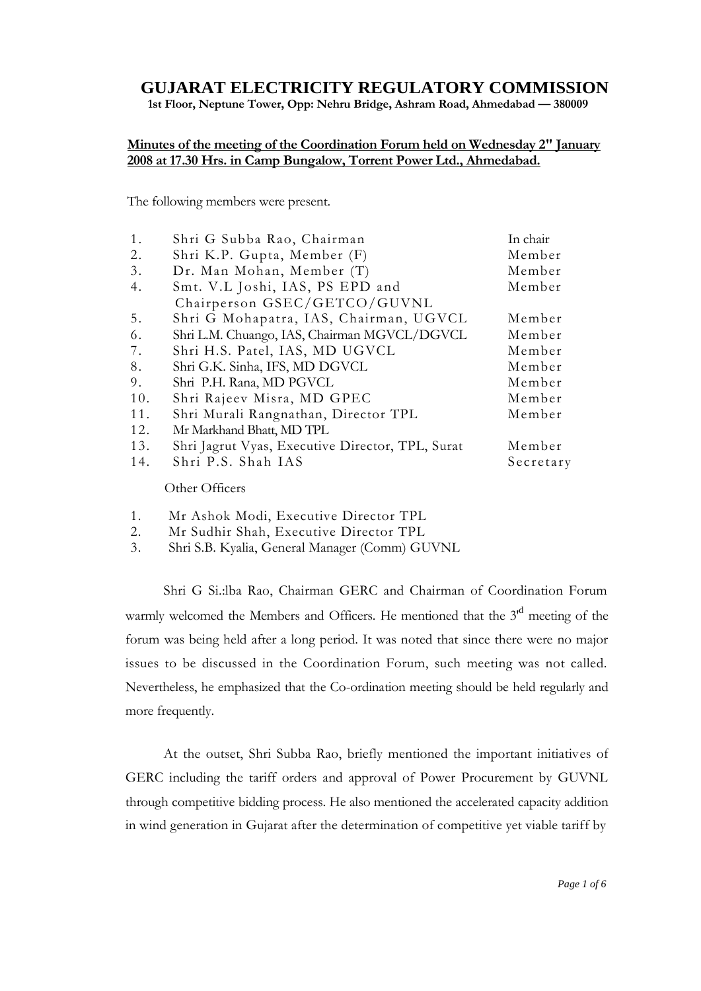# **GUJARAT ELECTRICITY REGULATORY COMMISSION**

**1st Floor, Neptune Tower, Opp: Nehru Bridge, Ashram Road, Ahmedabad — 380009**

### **Minutes of the meeting of the Coordination Forum held on Wednesday 2" January 2008 at 17.30 Hrs. in Camp Bungalow, Torrent Power Ltd., Ahmedabad.**

The following members were present.

| 1.  | Shri G Subba Rao, Chairman                       | In chair  |
|-----|--------------------------------------------------|-----------|
| 2.  | Shri K.P. Gupta, Member (F)                      | Member    |
| 3.  | Dr. Man Mohan, Member (T)                        | Member    |
| 4.  | Smt. V.L Joshi, IAS, PS EPD and                  | Member    |
|     | Chairperson GSEC/GETCO/GUVNL                     |           |
| 5.  | Shri G Mohapatra, IAS, Chairman, UGVCL           | Member    |
| 6.  | Shri L.M. Chuango, IAS, Chairman MGVCL/DGVCL     | Member    |
| 7.  | Shri H.S. Patel, IAS, MD UGVCL                   | Member    |
| 8.  | Shri G.K. Sinha, IFS, MD DGVCL                   | Member    |
| 9.  | Shri P.H. Rana, MD PGVCL                         | Member    |
| 10. | Shri Rajeev Misra, MD GPEC                       | Member    |
| 11. | Shri Murali Rangnathan, Director TPL             | Member    |
| 12. | Mr Markhand Bhatt, MD TPL                        |           |
| 13. | Shri Jagrut Vyas, Executive Director, TPL, Surat | Member    |
| 14. | Shri P.S. Shah IAS                               | Secretary |
|     |                                                  |           |

Other Officers

- 1. Mr Ashok Modi, Executive Director TPL
- 2. Mr Sudhir Shah, Executive Director TPL
- 3. Shri S.B. Kyalia, General Manager (Comm) GUVNL

Shri G Si.:lba Rao, Chairman GERC and Chairman of Coordination Forum warmly welcomed the Members and Officers. He mentioned that the 3<sup>rd</sup> meeting of the forum was being held after a long period. It was noted that since there were no major issues to be discussed in the Coordination Forum, such meeting was not called. Nevertheless, he emphasized that the Co-ordination meeting should be held regularly and more frequently.

At the outset, Shri Subba Rao, briefly mentioned the important initiatives of GERC including the tariff orders and approval of Power Procurement by GUVNL through competitive bidding process. He also mentioned the accelerated capacity addition in wind generation in Gujarat after the determination of competitive yet viable tariff by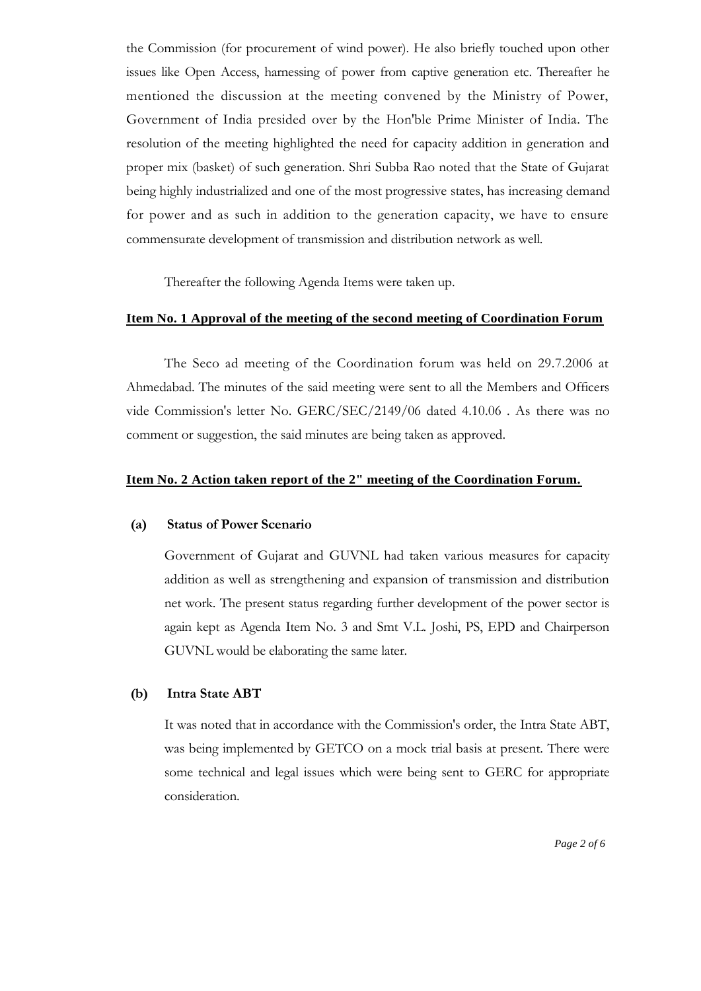the Commission (for procurement of wind power). He also briefly touched upon other issues like Open Access, harnessing of power from captive generation etc. Thereafter he mentioned the discussion at the meeting convened by the Ministry of Power, Government of India presided over by the Hon'ble Prime Minister of India. The resolution of the meeting highlighted the need for capacity addition in generation and proper mix (basket) of such generation. Shri Subba Rao noted that the State of Gujarat being highly industrialized and one of the most progressive states, has increasing demand for power and as such in addition to the generation capacity, we have to ensure commensurate development of transmission and distribution network as well.

Thereafter the following Agenda Items were taken up.

#### **Item No. 1 Approval of the meeting of the second meeting of Coordination Forum**

The Seco ad meeting of the Coordination forum was held on 29.7.2006 at Ahmedabad. The minutes of the said meeting were sent to all the Members and Officers vide Commission's letter No. GERC/SEC/2149/06 dated 4.10.06 . As there was no comment or suggestion, the said minutes are being taken as approved.

#### **Item No. 2 Action taken report of the 2" meeting of the Coordination Forum.**

#### **(a) Status of Power Scenario**

Government of Gujarat and GUVNL had taken various measures for capacity addition as well as strengthening and expansion of transmission and distribution net work. The present status regarding further development of the power sector is again kept as Agenda Item No. 3 and Smt V.L. Joshi, PS, EPD and Chairperson GUVNL would be elaborating the same later.

#### **(b) Intra State ABT**

It was noted that in accordance with the Commission's order, the Intra State ABT, was being implemented by GETCO on a mock trial basis at present. There were some technical and legal issues which were being sent to GERC for appropriate consideration.

*Page 2 of 6*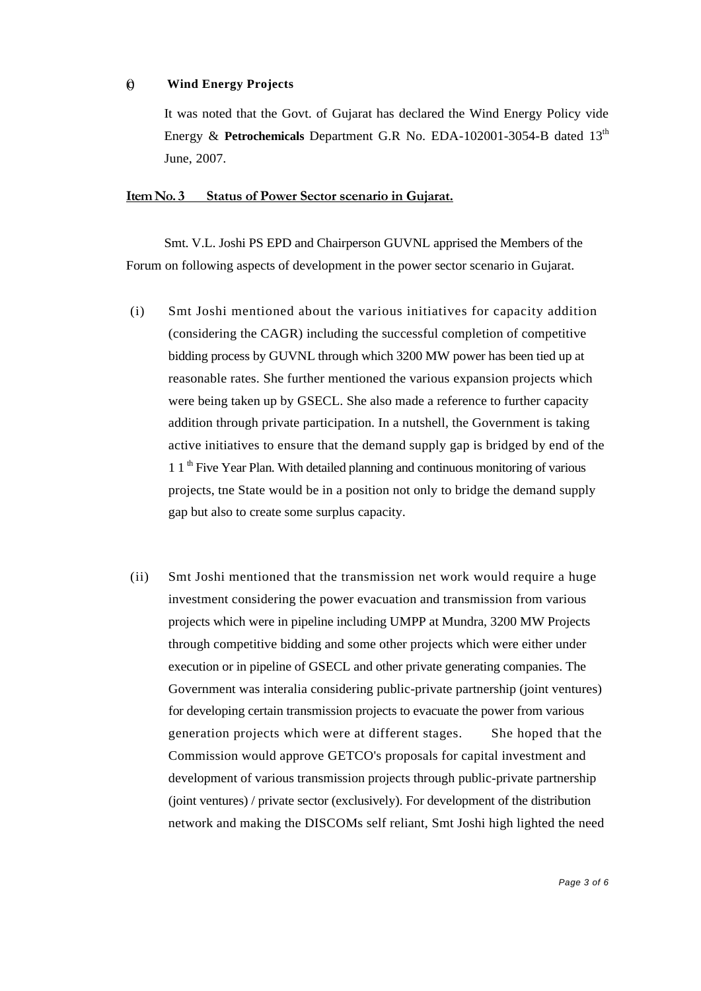#### (c) **Wind Energy Projects**

It was noted that the Govt. of Gujarat has declared the Wind Energy Policy vide Energy & Petrochemicals Department G.R No. EDA-102001-3054-B dated 13<sup>th</sup> June, 2007.

#### **Item No. 3 Status of Power Sector scenario in Gujarat.**

Smt. V.L. Joshi PS EPD and Chairperson GUVNL apprised the Members of the Forum on following aspects of development in the power sector scenario in Gujarat.

- (i) Smt Joshi mentioned about the various initiatives for capacity addition (considering the CAGR) including the successful completion of competitive bidding process by GUVNL through which 3200 MW power has been tied up at reasonable rates. She further mentioned the various expansion projects which were being taken up by GSECL. She also made a reference to further capacity addition through private participation. In a nutshell, the Government is taking active initiatives to ensure that the demand supply gap is bridged by end of the 1 1 th Five Year Plan. With detailed planning and continuous monitoring of various projects, tne State would be in a position not only to bridge the demand supply gap but also to create some surplus capacity.
- (ii) Smt Joshi mentioned that the transmission net work would require a huge investment considering the power evacuation and transmission from various projects which were in pipeline including UMPP at Mundra, 3200 MW Projects through competitive bidding and some other projects which were either under execution or in pipeline of GSECL and other private generating companies. The Government was interalia considering public-private partnership (joint ventures) for developing certain transmission projects to evacuate the power from various generation projects which were at different stages. She hoped that the Commission would approve GETCO's proposals for capital investment and development of various transmission projects through public-private partnership (joint ventures) / private sector (exclusively). For development of the distribution network and making the DISCOMs self reliant, Smt Joshi high lighted the need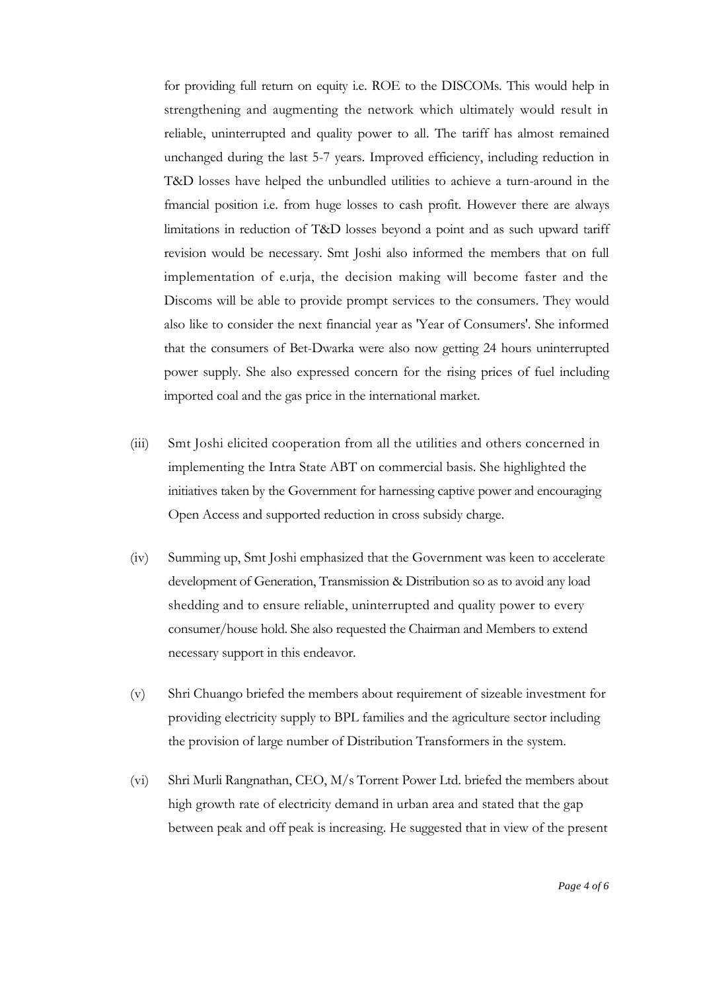for providing full return on equity i.e. ROE to the DISCOMs. This would help in strengthening and augmenting the network which ultimately would result in reliable, uninterrupted and quality power to all. The tariff has almost remained unchanged during the last 5-7 years. Improved efficiency, including reduction in T&D losses have helped the unbundled utilities to achieve a turn-around in the fmancial position i.e. from huge losses to cash profit. However there are always limitations in reduction of T&D losses beyond a point and as such upward tariff revision would be necessary. Smt Joshi also informed the members that on full implementation of e.urja, the decision making will become faster and the Discoms will be able to provide prompt services to the consumers. They would also like to consider the next financial year as 'Year of Consumers'. She informed that the consumers of Bet-Dwarka were also now getting 24 hours uninterrupted power supply. She also expressed concern for the rising prices of fuel including imported coal and the gas price in the international market.

- (iii) Smt Joshi elicited cooperation from all the utilities and others concerned in implementing the Intra State ABT on commercial basis. She highlighted the initiatives taken by the Government for harnessing captive power and encouraging Open Access and supported reduction in cross subsidy charge.
- (iv) Summing up, Smt Joshi emphasized that the Government was keen to accelerate development of Generation, Transmission & Distribution so as to avoid any load shedding and to ensure reliable, uninterrupted and quality power to every consumer/house hold. She also requested the Chairman and Members to extend necessary support in this endeavor.
- (v) Shri Chuango briefed the members about requirement of sizeable investment for providing electricity supply to BPL families and the agriculture sector including the provision of large number of Distribution Transformers in the system.
- (vi) Shri Murli Rangnathan, CEO, M/s Torrent Power Ltd. briefed the members about high growth rate of electricity demand in urban area and stated that the gap between peak and off peak is increasing. He suggested that in view of the present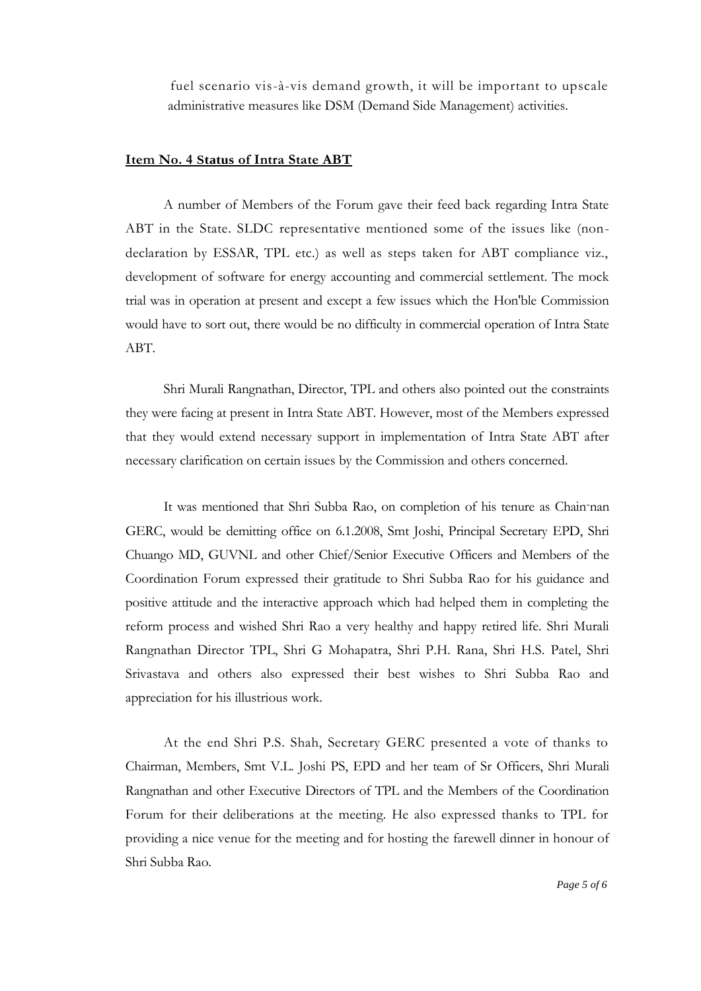fuel scenario vis-à-vis demand growth, it will be important to upscale administrative measures like DSM (Demand Side Management) activities.

#### **Item No. 4 Status of Intra State ABT**

A number of Members of the Forum gave their feed back regarding Intra State ABT in the State. SLDC representative mentioned some of the issues like (nondeclaration by ESSAR, TPL etc.) as well as steps taken for ABT compliance viz., development of software for energy accounting and commercial settlement. The mock trial was in operation at present and except a few issues which the Hon'ble Commission would have to sort out, there would be no difficulty in commercial operation of Intra State ABT.

Shri Murali Rangnathan, Director, TPL and others also pointed out the constraints they were facing at present in Intra State ABT. However, most of the Members expressed that they would extend necessary support in implementation of Intra State ABT after necessary clarification on certain issues by the Commission and others concerned.

It was mentioned that Shri Subba Rao, on completion of his tenure as Chain-nan GERC, would be demitting office on 6.1.2008, Smt Joshi, Principal Secretary EPD, Shri Chuango MD, GUVNL and other Chief/Senior Executive Officers and Members of the Coordination Forum expressed their gratitude to Shri Subba Rao for his guidance and positive attitude and the interactive approach which had helped them in completing the reform process and wished Shri Rao a very healthy and happy retired life. Shri Murali Rangnathan Director TPL, Shri G Mohapatra, Shri P.H. Rana, Shri H.S. Patel, Shri Srivastava and others also expressed their best wishes to Shri Subba Rao and appreciation for his illustrious work.

At the end Shri P.S. Shah, Secretary GERC presented a vote of thanks to Chairman, Members, Smt V.L. Joshi PS, EPD and her team of Sr Officers, Shri Murali Rangnathan and other Executive Directors of TPL and the Members of the Coordination Forum for their deliberations at the meeting. He also expressed thanks to TPL for providing a nice venue for the meeting and for hosting the farewell dinner in honour of Shri Subba Rao.